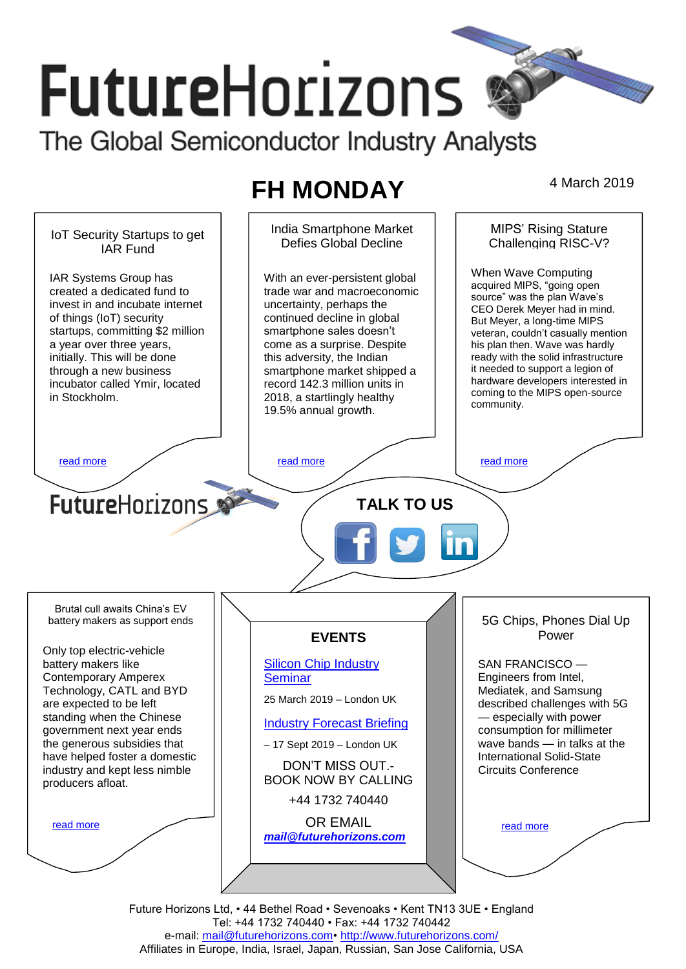# **FutureHorizons** The Global Semiconductor Industry Analysts

# **FH MONDAY** 4 March 2019

India Smartphone Market MIPS' Rising Stature IoT Security Startups to get Defies Global Decline Challenging RISC-V? IAR Fund When Wave Computing IAR Systems Group has With an ever-persistent global acquired MIPS, "going open created a dedicated fund to trade war and macroeconomic source" was the plan Wave's invest in and incubate internet uncertainty, perhaps the CEO Derek Meyer had in mind. of things (IoT) security continued decline in global But Meyer, a long-time MIPS startups, committing \$2 million smartphone sales doesn't veteran, couldn't casually mention a year over three years, come as a surprise. Despite his plan then. Wave was hardly initially. This will be done this adversity, the Indian ready with the solid infrastructure it needed to support a legion of through a new business smartphone market shipped a hardware developers interested in incubator called Ymir, located record 142.3 million units in coming to the MIPS open-source in Stockholm. 2018, a startlingly healthy community. 19.5% annual growth. [read more](#page-1-1) that the second contract the second contract of the read more that the read more that the read more **Future**Horizons **TALK TO US** Brutal cull awaits China's EV 5G Chips, Phones Dial Up battery makers as support ends Power **EVENTS** Only top electric-vehicle battery makers like [Silicon Chip Industry](http://www.futurehorizons.com/page/12/silicon-chip-training)  SAN FRANCISCO — Contemporary Amperex **[Seminar](http://www.futurehorizons.com/page/12/silicon-chip-training)** Engineers from Intel, Technology, CATL and BYD Mediatek, and Samsung 25 March 2019 – London UK described challenges with 5G are expected to be left standing when the Chinese — especially with power [Industry Forecast Briefing](http://www.futurehorizons.com/page/13/Semiconductor-Market-Forecast-Seminar) government next year ends consumption for millimeter the generous subsidies that wave bands — in talks at the – 17 Sept 2019 – London UK have helped foster a domestic International Solid-State DON'T MISS OUT.- Circuits Conference industry and kept less nimble BOOK NOW BY CALLING producers afloat.+44 1732 740440 OR EMAIL [read more](#page-1-3) [read more](#page-1-4) *[mail@futurehorizons.com](mailto:mail@futurehorizons.com)*

> Future Horizons Ltd, • 44 Bethel Road • Sevenoaks • Kent TN13 3UE • England Tel: +44 1732 740440 • Fax: +44 1732 740442 e-mail: mail@futurehorizons.com• http://www.futurehorizons.com/ Affiliates in Europe, India, Israel, Japan, Russian, San Jose California, USA